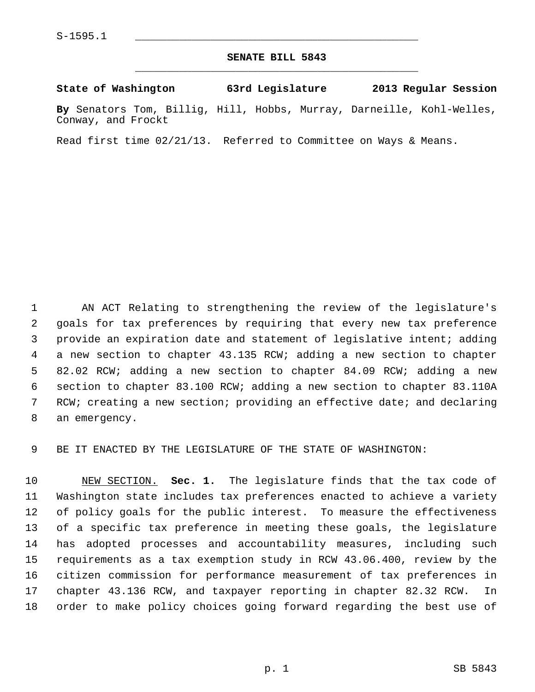## **SENATE BILL 5843** \_\_\_\_\_\_\_\_\_\_\_\_\_\_\_\_\_\_\_\_\_\_\_\_\_\_\_\_\_\_\_\_\_\_\_\_\_\_\_\_\_\_\_\_\_

## **State of Washington 63rd Legislature 2013 Regular Session**

**By** Senators Tom, Billig, Hill, Hobbs, Murray, Darneille, Kohl-Welles, Conway, and Frockt

Read first time 02/21/13. Referred to Committee on Ways & Means.

 1 AN ACT Relating to strengthening the review of the legislature's 2 goals for tax preferences by requiring that every new tax preference 3 provide an expiration date and statement of legislative intent; adding 4 a new section to chapter 43.135 RCW; adding a new section to chapter 5 82.02 RCW; adding a new section to chapter 84.09 RCW; adding a new 6 section to chapter 83.100 RCW; adding a new section to chapter 83.110A 7 RCW; creating a new section; providing an effective date; and declaring 8 an emergency.

9 BE IT ENACTED BY THE LEGISLATURE OF THE STATE OF WASHINGTON:

10 NEW SECTION. **Sec. 1.** The legislature finds that the tax code of 11 Washington state includes tax preferences enacted to achieve a variety 12 of policy goals for the public interest. To measure the effectiveness 13 of a specific tax preference in meeting these goals, the legislature 14 has adopted processes and accountability measures, including such 15 requirements as a tax exemption study in RCW 43.06.400, review by the 16 citizen commission for performance measurement of tax preferences in 17 chapter 43.136 RCW, and taxpayer reporting in chapter 82.32 RCW. In 18 order to make policy choices going forward regarding the best use of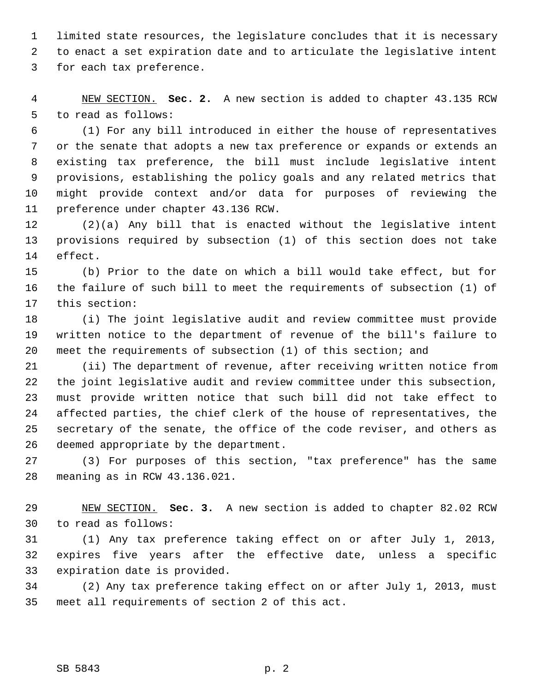1 limited state resources, the legislature concludes that it is necessary 2 to enact a set expiration date and to articulate the legislative intent 3 for each tax preference.

 4 NEW SECTION. **Sec. 2.** A new section is added to chapter 43.135 RCW 5 to read as follows:

 6 (1) For any bill introduced in either the house of representatives 7 or the senate that adopts a new tax preference or expands or extends an 8 existing tax preference, the bill must include legislative intent 9 provisions, establishing the policy goals and any related metrics that 10 might provide context and/or data for purposes of reviewing the 11 preference under chapter 43.136 RCW.

12 (2)(a) Any bill that is enacted without the legislative intent 13 provisions required by subsection (1) of this section does not take 14 effect.

15 (b) Prior to the date on which a bill would take effect, but for 16 the failure of such bill to meet the requirements of subsection (1) of 17 this section:

18 (i) The joint legislative audit and review committee must provide 19 written notice to the department of revenue of the bill's failure to 20 meet the requirements of subsection (1) of this section; and

21 (ii) The department of revenue, after receiving written notice from 22 the joint legislative audit and review committee under this subsection, 23 must provide written notice that such bill did not take effect to 24 affected parties, the chief clerk of the house of representatives, the 25 secretary of the senate, the office of the code reviser, and others as 26 deemed appropriate by the department.

27 (3) For purposes of this section, "tax preference" has the same 28 meaning as in RCW 43.136.021.

29 NEW SECTION. **Sec. 3.** A new section is added to chapter 82.02 RCW 30 to read as follows:

31 (1) Any tax preference taking effect on or after July 1, 2013, 32 expires five years after the effective date, unless a specific 33 expiration date is provided.

34 (2) Any tax preference taking effect on or after July 1, 2013, must 35 meet all requirements of section 2 of this act.